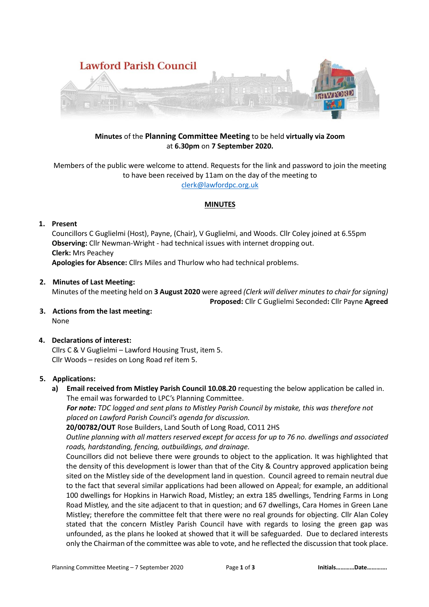

# **Minutes** of the **Planning Committee Meeting** to be held **virtually via Zoom** at **6.30pm** on **7 September 2020.**

Members of the public were welcome to attend. Requests for the link and password to join the meeting to have been received by 11am on the day of the meeting to [clerk@lawfordpc.org.uk](mailto:clerk@lawfordpc.org.uk)

## **MINUTES**

## **1. Present**

Councillors C Guglielmi (Host), Payne, (Chair), V Guglielmi, and Woods. Cllr Coley joined at 6.55pm **Observing:** Cllr Newman-Wright - had technical issues with internet dropping out. **Clerk:** Mrs Peachey **Apologies for Absence:** Cllrs Miles and Thurlow who had technical problems.

## **2. Minutes of Last Meeting:**

Minutes of the meeting held on **3 August 2020** were agreed *(Clerk will deliver minutes to chair for signing)*

### **Proposed:** Cllr C Guglielmi Seconded**:** Cllr Payne **Agreed**

**3. Actions from the last meeting:** None

# **4. Declarations of interest:**

Cllrs C & V Guglielmi – Lawford Housing Trust, item 5. Cllr Woods – resides on Long Road ref item 5.

#### **5. Applications:**

**a) Email received from Mistley Parish Council 10.08.20** requesting the below application be called in. The email was forwarded to LPC's Planning Committee.

*For note: TDC logged and sent plans to Mistley Parish Council by mistake, this was therefore not placed on Lawford Parish Council's agenda for discussion.* 

**20/00782/OUT** Rose Builders, Land South of Long Road, CO11 2HS

*Outline planning with all matters reserved except for access for up to 76 no. dwellings and associated roads, hardstanding, fencing, outbuildings, and drainage.* 

Councillors did not believe there were grounds to object to the application. It was highlighted that the density of this development is lower than that of the City & Country approved application being sited on the Mistley side of the development land in question. Council agreed to remain neutral due to the fact that several similar applications had been allowed on Appeal; for example, an additional 100 dwellings for Hopkins in Harwich Road, Mistley; an extra 185 dwellings, Tendring Farms in Long Road Mistley, and the site adjacent to that in question; and 67 dwellings, Cara Homes in Green Lane Mistley; therefore the committee felt that there were no real grounds for objecting. Cllr Alan Coley stated that the concern Mistley Parish Council have with regards to losing the green gap was unfounded, as the plans he looked at showed that it will be safeguarded. Due to declared interests only the Chairman of the committee was able to vote, and he reflected the discussion that took place.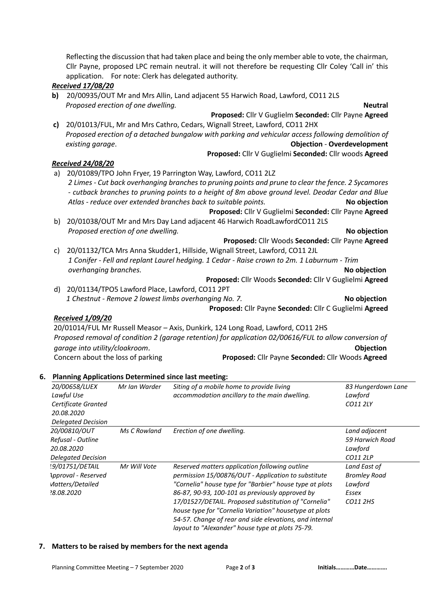|    | Cllr Payne, proposed LPC remain neutral. it will not therefore be requesting Cllr Coley 'Call in' this |  |  |  |
|----|--------------------------------------------------------------------------------------------------------|--|--|--|
|    | application. For note: Clerk has delegated authority.                                                  |  |  |  |
|    | <b>Received 17/08/20</b>                                                                               |  |  |  |
| b) | 20/00935/OUT Mr and Mrs Allin, Land adjacent 55 Harwich Road, Lawford, CO11 2LS                        |  |  |  |
|    | Proposed erection of one dwelling.<br><b>Neutral</b>                                                   |  |  |  |
|    | Proposed: Cllr V Guglielm Seconded: Cllr Payne Agreed                                                  |  |  |  |
| c) | 20/01013/FUL, Mr and Mrs Cathro, Cedars, Wignall Street, Lawford, CO11 2HX                             |  |  |  |
|    | Proposed erection of a detached bungalow with parking and vehicular access following demolition of     |  |  |  |
|    | <b>Objection - Overdevelopment</b><br>existing garage.                                                 |  |  |  |
|    | Proposed: Cllr V Guglielmi Seconded: Cllr woods Agreed                                                 |  |  |  |
|    | <b>Received 24/08/20</b>                                                                               |  |  |  |
|    | a) 20/01089/TPO John Fryer, 19 Parrington Way, Lawford, CO11 2LZ                                       |  |  |  |
|    | 2 Limes - Cut back overhanging branches to pruning points and prune to clear the fence. 2 Sycamores    |  |  |  |
|    | - cutback branches to pruning points to a height of 8m above ground level. Deodar Cedar and Blue       |  |  |  |
|    | Atlas - reduce over extended branches back to suitable points.<br>No objection                         |  |  |  |
|    | Proposed: Cllr V Guglielmi Seconded: Cllr Payne Agreed                                                 |  |  |  |
|    | b) 20/01038/OUT Mr and Mrs Day Land adjacent 46 Harwich RoadLawfordCO11 2LS                            |  |  |  |
|    | Proposed erection of one dwelling.<br>No objection                                                     |  |  |  |
|    | Proposed: Cllr Woods Seconded: Cllr Payne Agreed                                                       |  |  |  |
| c) | 20/01132/TCA Mrs Anna Skudder1, Hillside, Wignall Street, Lawford, CO11 2JL                            |  |  |  |
|    | 1 Conifer - Fell and replant Laurel hedging. 1 Cedar - Raise crown to 2m. 1 Laburnum - Trim            |  |  |  |
|    | overhanging branches.<br>No objection                                                                  |  |  |  |
|    | Proposed: Cllr Woods Seconded: Cllr V Guglielmi Agreed                                                 |  |  |  |
| d) | 20/01134/TPO5 Lawford Place, Lawford, CO11 2PT                                                         |  |  |  |
|    | 1 Chestnut - Remove 2 lowest limbs overhanging No. 7.<br>No objection                                  |  |  |  |
|    | Proposed: Cllr Payne Seconded: Cllr C Guglielmi Agreed                                                 |  |  |  |
|    | <b>Received 1/09/20</b>                                                                                |  |  |  |
|    | 20/01014/FUL Mr Russell Measor - Axis, Dunkirk, 124 Long Road, Lawford, CO11 2HS                       |  |  |  |
|    | Proposed removal of condition 2 (garage retention) for application 02/00616/FUL to allow conversion of |  |  |  |
|    | garage into utility/cloakroom.<br>Objection                                                            |  |  |  |
|    | Concern about the loss of parking<br>Proposed: Cllr Payne Seconded: Cllr Woods Agreed                  |  |  |  |
|    |                                                                                                        |  |  |  |
|    | <b>Planning Applications Determined since last meeting:</b>                                            |  |  |  |
|    | 20/00658/LUEX<br>Siting of a mobile home to provide living<br>83 Hungerdown Lane<br>Mr Ian Warder      |  |  |  |

Reflecting the discussion that had taken place and being the only member able to vote, the chairman,

| 20/00658/LUEX<br>Lawful Use<br>Certificate Granted<br>20.08.2020<br><b>Delegated Decision</b> | Mr Ian Warder | Siting of a mobile home to provide living<br>accommodation ancillary to the main dwelling.                                                                                                                                                                                                                                                                                                                                                           | 83 Hungerdown Lane<br>Lawford<br>CO11 2LY                           |
|-----------------------------------------------------------------------------------------------|---------------|------------------------------------------------------------------------------------------------------------------------------------------------------------------------------------------------------------------------------------------------------------------------------------------------------------------------------------------------------------------------------------------------------------------------------------------------------|---------------------------------------------------------------------|
| 20/00810/OUT<br>Refusal - Outline<br>20.08.2020<br><b>Delegated Decision</b>                  | Ms C Rowland  | Erection of one dwelling.                                                                                                                                                                                                                                                                                                                                                                                                                            | Land adjacent<br>59 Harwich Road<br>Lawford<br>CO11 2LP             |
| !9/01751/DETAIL<br>Approval - Reserved<br>Matters/Detailed<br>8.08.2020                       | Mr Will Vote  | Reserved matters application following outline<br>permission 15/00876/OUT - Application to substitute<br>"Cornelia" house type for "Barbier" house type at plots<br>86-87, 90-93, 100-101 as previously approved by<br>17/01527/DETAIL. Proposed substitution of "Cornelia"<br>house type for "Cornelia Variation" housetype at plots<br>54-57. Change of rear and side elevations, and internal<br>layout to "Alexander" house type at plots 75-79. | Land East of<br><b>Bromley Road</b><br>Lawford<br>Essex<br>CO11 2HS |

## **7. Matters to be raised by members for the next agenda**